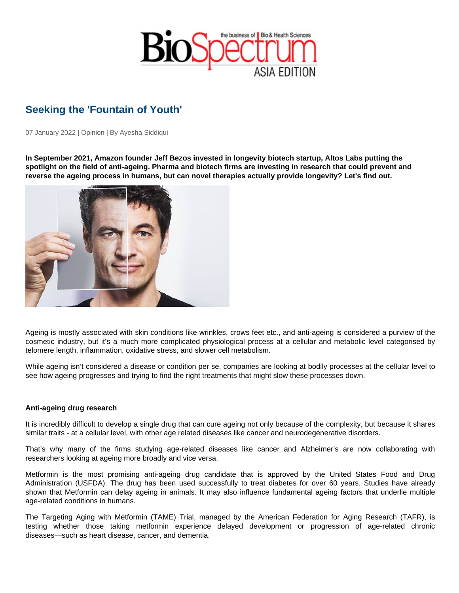## Seeking the 'Fountain of Youth'

07 January 2022 | Opinion | By Ayesha Siddiqui

In September 2021, Amazon founder Jeff Bezos invested in longevity biotech startup, Altos Labs putting the spotlight on the field of anti-ageing. Pharma and biotech firms are investing in research that could prevent and reverse the ageing process in humans, but can novel therapies actually provide longevity? Let's find out.

Ageing is mostly associated with skin conditions like wrinkles, crows feet etc., and anti-ageing is considered a purview of the cosmetic industry, but it's a much more complicated physiological process at a cellular and metabolic level categorised by telomere length, inflammation, oxidative stress, and slower cell metabolism.

While ageing isn't considered a disease or condition per se, companies are looking at bodily processes at the cellular level to see how ageing progresses and trying to find the right treatments that might slow these processes down.

## Anti-ageing drug research

It is incredibly difficult to develop a single drug that can cure ageing not only because of the complexity, but because it shares similar traits - at a cellular level, with other age related diseases like cancer and neurodegenerative disorders.

That's why many of the firms studying age-related diseases like cancer and Alzheimer's are now collaborating with researchers looking at ageing more broadly and vice versa.

Metformin is the most promising anti-ageing drug candidate that is approved by the United States Food and Drug Administration (USFDA). The drug has been used successfully to treat diabetes for over 60 years. Studies have already shown that Metformin can delay ageing in animals. It may also influence fundamental ageing factors that underlie multiple age-related conditions in humans.

The Targeting Aging with Metformin (TAME) Trial, managed by the American Federation for Aging Research (TAFR), is testing whether those taking metformin experience delayed development or progression of age-related chronic diseases—such as heart disease, cancer, and dementia.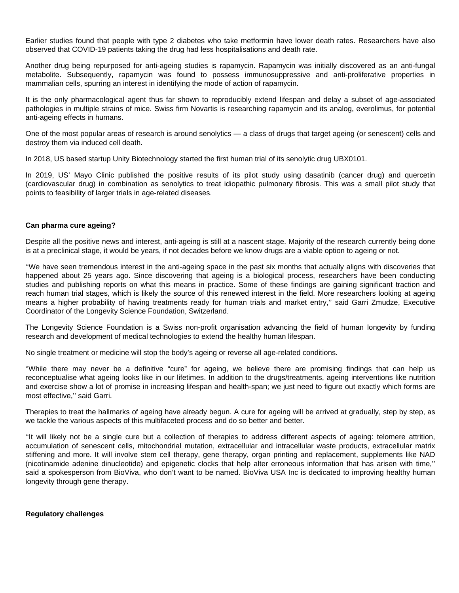Earlier studies found that people with type 2 diabetes who take metformin have lower death rates. Researchers have also observed that COVID-19 patients taking the drug had less hospitalisations and death rate.

Another drug being repurposed for anti-ageing studies is rapamycin. Rapamycin was initially discovered as an anti-fungal metabolite. Subsequently, rapamycin was found to possess immunosuppressive and anti-proliferative properties in mammalian cells, spurring an interest in identifying the mode of action of rapamycin.

It is the only pharmacological agent thus far shown to reproducibly extend lifespan and delay a subset of age-associated pathologies in multiple strains of mice. Swiss firm Novartis is researching rapamycin and its analog, everolimus, for potential anti-ageing effects in humans.

One of the most popular areas of research is around senolytics — a class of drugs that target ageing (or senescent) cells and destroy them via induced cell death.

In 2018, US based startup Unity Biotechnology started the first human trial of its senolytic drug UBX0101.

In 2019, US' Mayo Clinic published the positive results of its pilot study using dasatinib (cancer drug) and quercetin (cardiovascular drug) in combination as senolytics to treat idiopathic pulmonary fibrosis. This was a small pilot study that points to feasibility of larger trials in age-related diseases.

## **Can pharma cure ageing?**

Despite all the positive news and interest, anti-ageing is still at a nascent stage. Majority of the research currently being done is at a preclinical stage, it would be years, if not decades before we know drugs are a viable option to ageing or not.

''We have seen tremendous interest in the anti-ageing space in the past six months that actually aligns with discoveries that happened about 25 years ago. Since discovering that ageing is a biological process, researchers have been conducting studies and publishing reports on what this means in practice. Some of these findings are gaining significant traction and reach human trial stages, which is likely the source of this renewed interest in the field. More researchers looking at ageing means a higher probability of having treatments ready for human trials and market entry,'' said Garri Zmudze, Executive Coordinator of the Longevity Science Foundation, Switzerland.

The Longevity Science Foundation is a Swiss non-profit organisation advancing the field of human longevity by funding research and development of medical technologies to extend the healthy human lifespan.

No single treatment or medicine will stop the body's ageing or reverse all age-related conditions.

''While there may never be a definitive "cure" for ageing, we believe there are promising findings that can help us reconceptualise what ageing looks like in our lifetimes. In addition to the drugs/treatments, ageing interventions like nutrition and exercise show a lot of promise in increasing lifespan and health-span; we just need to figure out exactly which forms are most effective," said Garri.

Therapies to treat the hallmarks of ageing have already begun. A cure for ageing will be arrived at gradually, step by step, as we tackle the various aspects of this multifaceted process and do so better and better.

''It will likely not be a single cure but a collection of therapies to address different aspects of ageing: telomere attrition, accumulation of senescent cells, mitochondrial mutation, extracellular and intracellular waste products, extracellular matrix stiffening and more. It will involve stem cell therapy, gene therapy, organ printing and replacement, supplements like NAD (nicotinamide adenine dinucleotide) and epigenetic clocks that help alter erroneous information that has arisen with time,'' said a spokesperson from BioViva, who don't want to be named. BioViva USA Inc is dedicated to improving healthy human longevity through gene therapy.

## **Regulatory challenges**